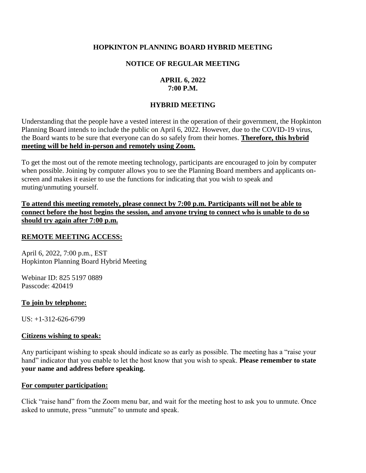## **HOPKINTON PLANNING BOARD HYBRID MEETING**

### **NOTICE OF REGULAR MEETING**

### **APRIL 6, 2022 7:00 P.M.**

## **HYBRID MEETING**

Understanding that the people have a vested interest in the operation of their government, the Hopkinton Planning Board intends to include the public on April 6, 2022. However, due to the COVID-19 virus, the Board wants to be sure that everyone can do so safely from their homes. **Therefore, this hybrid meeting will be held in-person and remotely using Zoom.**

To get the most out of the remote meeting technology, participants are encouraged to join by computer when possible. Joining by computer allows you to see the Planning Board members and applicants onscreen and makes it easier to use the functions for indicating that you wish to speak and muting/unmuting yourself.

**To attend this meeting remotely, please connect by 7:00 p.m. Participants will not be able to connect before the host begins the session, and anyone trying to connect who is unable to do so should try again after 7:00 p.m.** 

### **REMOTE MEETING ACCESS:**

April 6, 2022, 7:00 p.m., EST Hopkinton Planning Board Hybrid Meeting

Webinar ID: 825 5197 0889 Passcode: 420419

### **To join by telephone:**

US: +1-312-626-6799

### **Citizens wishing to speak:**

Any participant wishing to speak should indicate so as early as possible. The meeting has a "raise your hand" indicator that you enable to let the host know that you wish to speak. **Please remember to state your name and address before speaking.** 

### **For computer participation:**

Click "raise hand" from the Zoom menu bar, and wait for the meeting host to ask you to unmute. Once asked to unmute, press "unmute" to unmute and speak.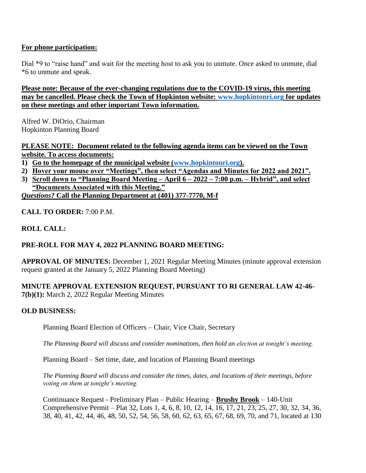## **For phone participation:**

Dial \*9 to "raise hand" and wait for the meeting host to ask you to unmute. Once asked to unmute, dial \*6 to unmute and speak.

**Please note: Because of the ever-changing regulations due to the COVID-19 virus, this meeting may be cancelled. Please check the Town of Hopkinton website: [www.hopkintonri.org](http://www.hopkintonri.org/) for updates on these meetings and other important Town information.** 

Alfred W. DiOrio, Chairman Hopkinton Planning Board

**PLEASE NOTE: Document related to the following agenda items can be viewed on the Town website. To access documents:** 

- **1) Go to the homepage of the municipal website [\(www.hopkintonri.org\)](http://www.hopkintonri.org/).**
- **2) Hover your mouse over "Meetings", then select "Agendas and Minutes for 2022 and 2021".**
- **3) Scroll down to "Planning Board Meeting – April 6 – 2022 – 7:00 p.m. – Hybrid", and select "Documents Associated with this Meeting."**

*Questions?* **Call the Planning Department at (401) 377-7770, M-f**

**CALL TO ORDER:** 7:00 P.M.

**ROLL CALL:** 

# **PRE-ROLL FOR MAY 4, 2022 PLANNING BOARD MEETING:**

**APPROVAL OF MINUTES:** December 1, 2021 Regular Meeting Minutes (minute approval extension request granted at the January 5, 2022 Planning Board Meeting)

### **MINUTE APPROVAL EXTENSION REQUEST, PURSUANT TO RI GENERAL LAW 42-46- 7(b)(1):** March 2, 2022 Regular Meeting Minutes

## **OLD BUSINESS:**

Planning Board Election of Officers – Chair, Vice Chair, Secretary

*The Planning Board will discuss and consider nominations, then hold an election at tonight's meeting.*

Planning Board – Set time, date, and location of Planning Board meetings

*The Planning Board will discuss and consider the times, dates, and locations of their meetings, before voting on them at tonight's meeting.* 

Continuance Request - Preliminary Plan – Public Hearing – **Brushy Brook** – 140-Unit Comprehensive Permit – Plat 32, Lots 1, 4, 6, 8, 10, 12, 14, 16, 17, 21, 23, 25, 27, 30, 32, 34, 36, 38, 40, 41, 42, 44, 46, 48, 50, 52, 54, 56, 58, 60, 62, 63, 65, 67, 68, 69, 70, and 71, located at 130